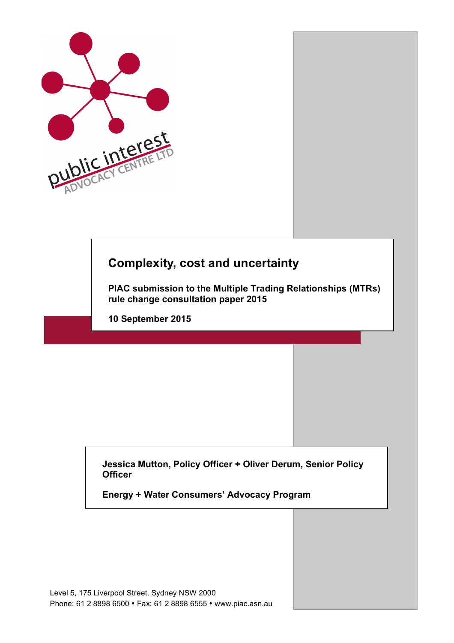

# **Complexity, cost and uncertainty**

**PIAC submission to the Multiple Trading Relationships (MTRs) rule change consultation paper 2015**

**10 September 2015**

**Jessica Mutton, Policy Officer + Oliver Derum, Senior Policy Officer**

**Energy + Water Consumers' Advocacy Program**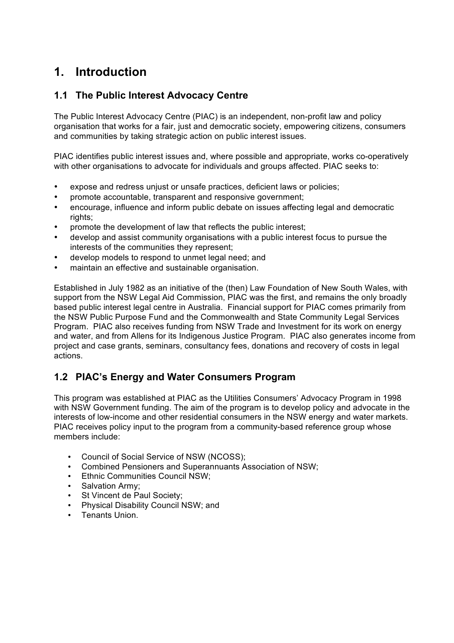# **1. Introduction**

#### **1.1 The Public Interest Advocacy Centre**

The Public Interest Advocacy Centre (PIAC) is an independent, non-profit law and policy organisation that works for a fair, just and democratic society, empowering citizens, consumers and communities by taking strategic action on public interest issues.

PIAC identifies public interest issues and, where possible and appropriate, works co-operatively with other organisations to advocate for individuals and groups affected. PIAC seeks to:

- expose and redress unjust or unsafe practices, deficient laws or policies;
- promote accountable, transparent and responsive government;
- encourage, influence and inform public debate on issues affecting legal and democratic rights;
- promote the development of law that reflects the public interest;
- develop and assist community organisations with a public interest focus to pursue the interests of the communities they represent;
- develop models to respond to unmet legal need; and
- maintain an effective and sustainable organisation.

Established in July 1982 as an initiative of the (then) Law Foundation of New South Wales, with support from the NSW Legal Aid Commission, PIAC was the first, and remains the only broadly based public interest legal centre in Australia. Financial support for PIAC comes primarily from the NSW Public Purpose Fund and the Commonwealth and State Community Legal Services Program. PIAC also receives funding from NSW Trade and Investment for its work on energy and water, and from Allens for its Indigenous Justice Program. PIAC also generates income from project and case grants, seminars, consultancy fees, donations and recovery of costs in legal actions.

### **1.2 PIAC's Energy and Water Consumers Program**

This program was established at PIAC as the Utilities Consumers' Advocacy Program in 1998 with NSW Government funding. The aim of the program is to develop policy and advocate in the interests of low-income and other residential consumers in the NSW energy and water markets. PIAC receives policy input to the program from a community-based reference group whose members include:

- Council of Social Service of NSW (NCOSS);
- Combined Pensioners and Superannuants Association of NSW;
- Ethnic Communities Council NSW;
- Salvation Army;
- St Vincent de Paul Society;
- Physical Disability Council NSW; and
- Tenants Union.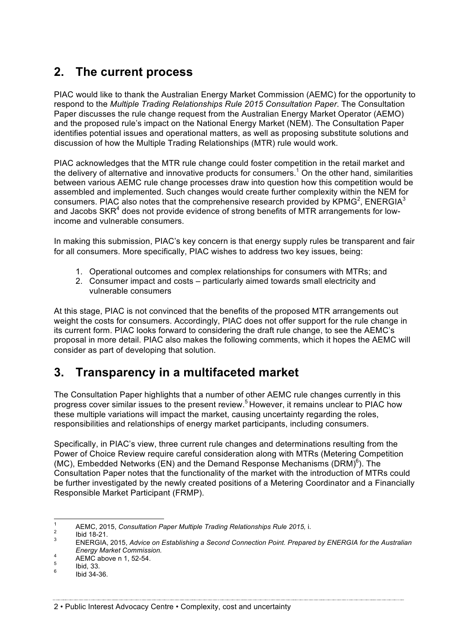## **2. The current process**

PIAC would like to thank the Australian Energy Market Commission (AEMC) for the opportunity to respond to the *Multiple Trading Relationships Rule 2015 Consultation Paper*. The Consultation Paper discusses the rule change request from the Australian Energy Market Operator (AEMO) and the proposed rule's impact on the National Energy Market (NEM). The Consultation Paper identifies potential issues and operational matters, as well as proposing substitute solutions and discussion of how the Multiple Trading Relationships (MTR) rule would work.

PIAC acknowledges that the MTR rule change could foster competition in the retail market and the delivery of alternative and innovative products for consumers.<sup>1</sup> On the other hand, similarities between various AEMC rule change processes draw into question how this competition would be assembled and implemented. Such changes would create further complexity within the NEM for consumers. PIAC also notes that the comprehensive research provided by KPMG<sup>2</sup>, ENERGIA<sup>3</sup> and Jacobs  $SKR<sup>4</sup>$  does not provide evidence of strong benefits of MTR arrangements for lowincome and vulnerable consumers.

In making this submission, PIAC's key concern is that energy supply rules be transparent and fair for all consumers. More specifically, PIAC wishes to address two key issues, being:

- 1. Operational outcomes and complex relationships for consumers with MTRs; and
- 2. Consumer impact and costs particularly aimed towards small electricity and vulnerable consumers

At this stage, PIAC is not convinced that the benefits of the proposed MTR arrangements out weight the costs for consumers. Accordingly, PIAC does not offer support for the rule change in its current form. PIAC looks forward to considering the draft rule change, to see the AEMC's proposal in more detail. PIAC also makes the following comments, which it hopes the AEMC will consider as part of developing that solution.

# **3. Transparency in a multifaceted market**

The Consultation Paper highlights that a number of other AEMC rule changes currently in this progress cover similar issues to the present review. <sup>5</sup> However, it remains unclear to PIAC how these multiple variations will impact the market, causing uncertainty regarding the roles, responsibilities and relationships of energy market participants, including consumers.

Specifically, in PIAC's view, three current rule changes and determinations resulting from the Power of Choice Review require careful consideration along with MTRs (Metering Competition (MC), Embedded Networks (EN) and the Demand Response Mechanisms (DRM) $^6$ ). The Consultation Paper notes that the functionality of the market with the introduction of MTRs could be further investigated by the newly created positions of a Metering Coordinator and a Financially Responsible Market Participant (FRMP).

<sup>1</sup> AEMC, 2015, *Consultation Paper Multiple Trading Relationships Rule 2015, i.*<br><sup>2</sup> Ibid 18-21. <br><sup>3</sup> ENERGIA, 2015, *Advice on Establishing a Second Connection Point. Prepared by ENERGIA for the Australian Energy Market Commission.*<br>
4 AEMC above n 1, 52-54.<br>
<sup>5</sup> Ibid, 33.<br>
<sup>6</sup> Ibid 34-36.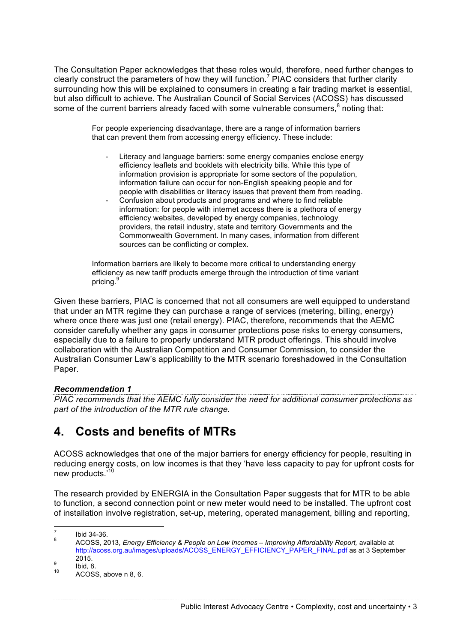The Consultation Paper acknowledges that these roles would, therefore, need further changes to clearly construct the parameters of how they will function.<sup>7</sup> PIAC considers that further clarity surrounding how this will be explained to consumers in creating a fair trading market is essential, but also difficult to achieve. The Australian Council of Social Services (ACOSS) has discussed some of the current barriers already faced with some vulnerable consumers,<sup>8</sup> noting that:

> For people experiencing disadvantage, there are a range of information barriers that can prevent them from accessing energy efficiency. These include:

- Literacy and language barriers: some energy companies enclose energy efficiency leaflets and booklets with electricity bills. While this type of information provision is appropriate for some sectors of the population, information failure can occur for non-English speaking people and for people with disabilities or literacy issues that prevent them from reading.
- Confusion about products and programs and where to find reliable information: for people with internet access there is a plethora of energy efficiency websites, developed by energy companies, technology providers, the retail industry, state and territory Governments and the Commonwealth Government. In many cases, information from different sources can be conflicting or complex.

Information barriers are likely to become more critical to understanding energy efficiency as new tariff products emerge through the introduction of time variant pricing.<sup>9</sup>

Given these barriers, PIAC is concerned that not all consumers are well equipped to understand that under an MTR regime they can purchase a range of services (metering, billing, energy) where once there was just one (retail energy). PIAC, therefore, recommends that the AEMC consider carefully whether any gaps in consumer protections pose risks to energy consumers, especially due to a failure to properly understand MTR product offerings. This should involve collaboration with the Australian Competition and Consumer Commission, to consider the Australian Consumer Law's applicability to the MTR scenario foreshadowed in the Consultation Paper.

#### *Recommendation 1*

*PIAC recommends that the AEMC fully consider the need for additional consumer protections as part of the introduction of the MTR rule change.* 

### **4. Costs and benefits of MTRs**

ACOSS acknowledges that one of the major barriers for energy efficiency for people, resulting in reducing energy costs, on low incomes is that they 'have less capacity to pay for upfront costs for new products.<sup>'10</sup>

The research provided by ENERGIA in the Consultation Paper suggests that for MTR to be able to function, a second connection point or new meter would need to be installed. The upfront cost of installation involve registration, set-up, metering, operated management, billing and reporting,

<sup>7</sup> Ibid 34-36. <sup>8</sup> ACOSS, 2013, *Energy Efficiency & People on Low Incomes – Improving Affordability Report,* available at http://acoss.org.au/images/uploads/ACOSS\_ENERGY\_EFFICIENCY\_PAPER\_FINAL.pdf as at 3 September

 $\frac{9}{10}$  Ibid, 8.<br>10 ACOSS, above n 8, 6.